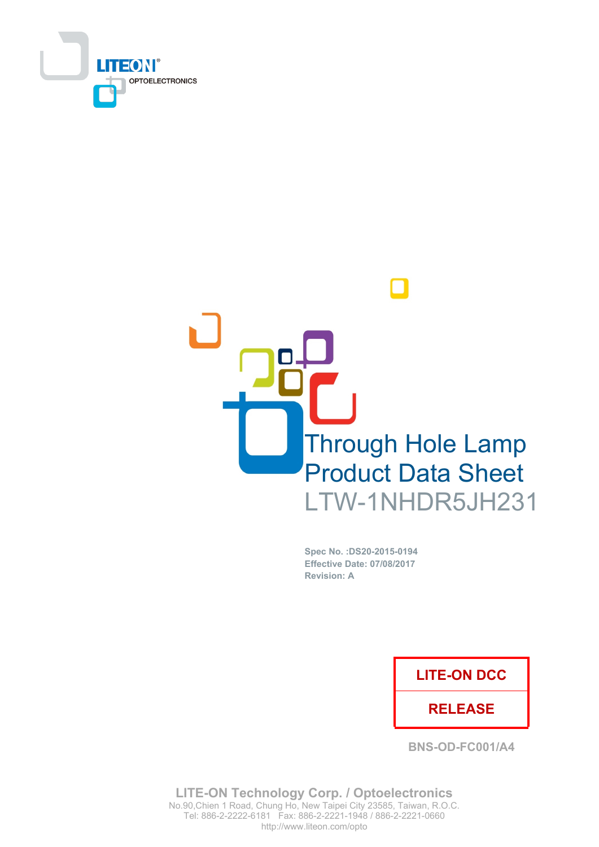



Spec No. : DS20-2015-0194 **Effective Date: 07/08/2017 Revision: A** 

## **LITE-ON DCC**

## **RELEASE**

**BNS-OD-FC001/A4** 

**LITE-ON Technology Corp. / Optoelectronics** No.90, Chien 1 Road, Chung Ho, New Taipei City 23585, Taiwan, R.O.C. Tel: 886-2-2222-6181 Fax: 886-2-2221-1948 / 886-2-2221-0660 http://www.liteon.com/opto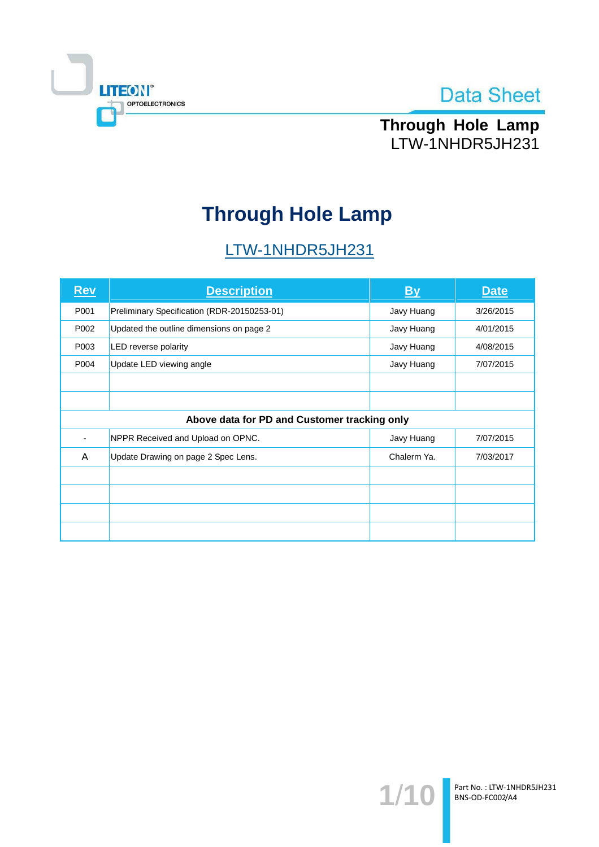



Through Hole Lamp LTW-1NHDR5JH231

# **Through Hole Lamp**

# LTW-1NHDR5JH231

| <u>Rev</u> | <b>Description</b>                           | <b>By</b>   | <b>Date</b> |
|------------|----------------------------------------------|-------------|-------------|
| P001       | Preliminary Specification (RDR-20150253-01)  | Javy Huang  | 3/26/2015   |
| P002       | Updated the outline dimensions on page 2     | Javy Huang  | 4/01/2015   |
| P003       | LED reverse polarity                         | Javy Huang  | 4/08/2015   |
| P004       | Update LED viewing angle                     | Javy Huang  | 7/07/2015   |
|            |                                              |             |             |
|            |                                              |             |             |
|            | Above data for PD and Customer tracking only |             |             |
|            | NPPR Received and Upload on OPNC.            | Javy Huang  | 7/07/2015   |
| A          | Update Drawing on page 2 Spec Lens.          | Chalerm Ya. | 7/03/2017   |
|            |                                              |             |             |
|            |                                              |             |             |
|            |                                              |             |             |
|            |                                              |             |             |

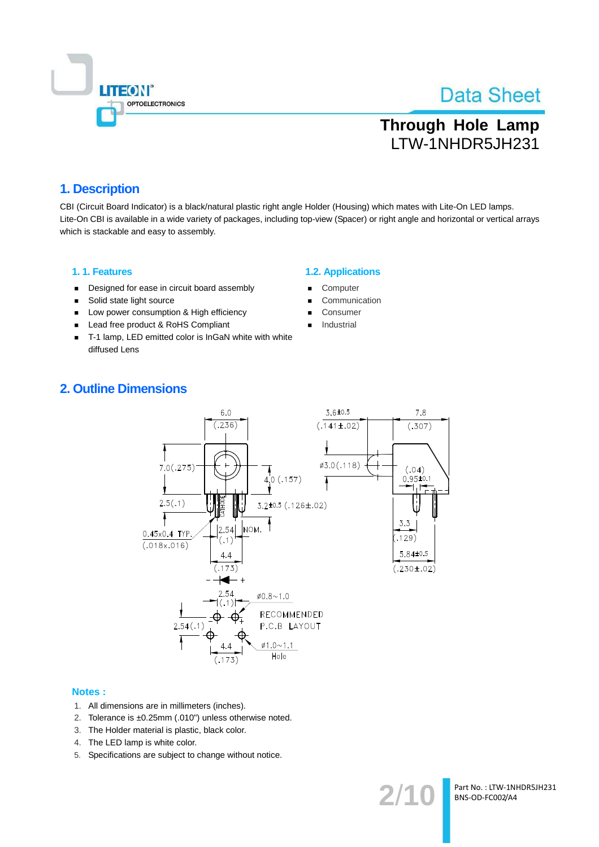

# **Through Hole Lamp** LTW-1NHDR5JH231

## 1. Description

CBI (Circuit Board Indicator) is a black/natural plastic right angle Holder (Housing) which mates with Lite-On LED lamps. Lite-On CBI is available in a wide variety of packages, including top-view (Spacer) or right angle and horizontal or vertical arrays which is stackable and easy to assembly.

### 1.1. Features

- Designed for ease in circuit board assembly  $\blacksquare$
- Solid state light source  $\blacksquare$
- Low power consumption & High efficiency
- Lead free product & RoHS Compliant
- T-1 lamp, LED emitted color is InGaN white with white diffused Lens

### **1.2. Applications**

- Computer
- Communication
- Consumer
- Industrial

## **2. Outline Dimensions**



#### **Notes:**

- 1. All dimensions are in millimeters (inches).
- 2. Tolerance is ±0.25mm (.010") unless otherwise noted.
- 3. The Holder material is plastic, black color.
- 4. The LED lamp is white color.
- 5. Specifications are subject to change without notice.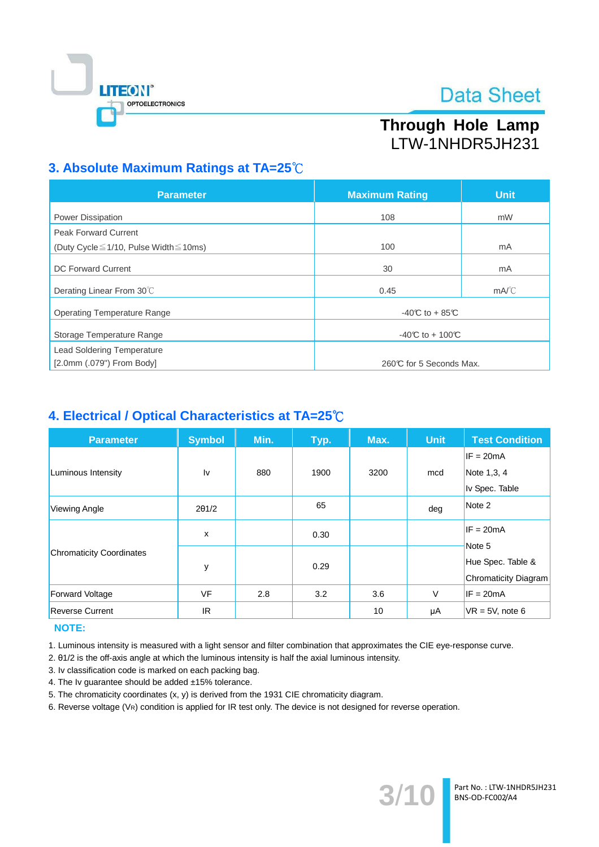

# Through Hole Lamp LTW-1NHDR5JH231

## 3. Absolute Maximum Ratings at TA=25°C

| <b>Parameter</b>                                  | <b>Maximum Rating</b>   | <b>Unit</b>   |  |
|---------------------------------------------------|-------------------------|---------------|--|
| <b>Power Dissipation</b>                          | 108                     | mW            |  |
| <b>Peak Forward Current</b>                       |                         |               |  |
| (Duty Cycle $\leq$ 1/10, Pulse Width $\leq$ 10ms) | 100                     | mA            |  |
| <b>DC Forward Current</b>                         | 30                      | mA            |  |
| Derating Linear From 30°C                         | 0.45                    | $mA^{\circ}C$ |  |
| <b>Operating Temperature Range</b>                | $-40C$ to $+85C$        |               |  |
| Storage Temperature Range                         | -40°C to + 100°C        |               |  |
| <b>Lead Soldering Temperature</b>                 |                         |               |  |
| [2.0mm (.079") From Body]                         | 260℃ for 5 Seconds Max. |               |  |

## 4. Electrical / Optical Characteristics at TA=25°C

| <b>Parameter</b>                | <b>Symbol</b> | Min. | Typ. | Max. | <b>Unit</b> | <b>Test Condition</b> |
|---------------------------------|---------------|------|------|------|-------------|-----------------------|
|                                 |               |      |      |      |             | $IF = 20mA$           |
| Luminous Intensity              | Iv            | 880  | 1900 | 3200 | mcd         | Note 1,3, 4           |
|                                 |               |      |      |      |             | Iv Spec. Table        |
| Viewing Angle                   | $2\theta$ 1/2 |      | 65   |      | deg         | Note 2                |
|                                 | X             |      | 0.30 |      |             | $IF = 20mA$           |
| <b>Chromaticity Coordinates</b> | у             |      | 0.29 |      |             | Note 5                |
|                                 |               |      |      |      |             | Hue Spec. Table &     |
|                                 |               |      |      |      |             | Chromaticity Diagram  |
| <b>Forward Voltage</b>          | <b>VF</b>     | 2.8  | 3.2  | 3.6  | $\vee$      | $IF = 20mA$           |
| <b>Reverse Current</b>          | IR.           |      |      | 10   | μA          | $VR = 5V$ , note 6    |

## **NOTE:**

1. Luminous intensity is measured with a light sensor and filter combination that approximates the CIE eye-response curve.

2. 01/2 is the off-axis angle at which the luminous intensity is half the axial luminous intensity.

- 3. Iv classification code is marked on each packing bag.
- 4. The Iv guarantee should be added ±15% tolerance.
- 5. The chromaticity coordinates (x, y) is derived from the 1931 CIE chromaticity diagram.
- 6. Reverse voltage (VR) condition is applied for IR test only. The device is not designed for reverse operation.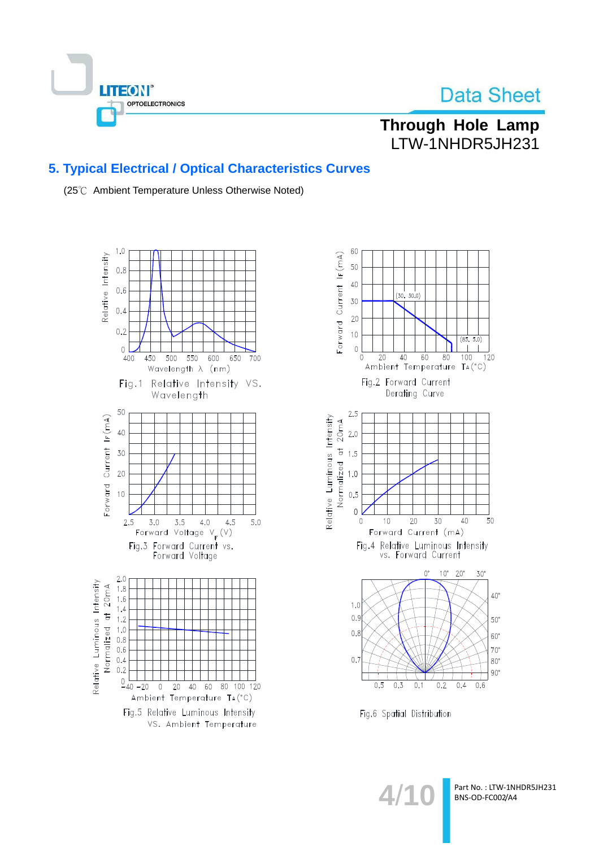

## Through Hole Lamp LTW-1NHDR5JH231

## **5. Typical Electrical / Optical Characteristics Curves**

(25℃ Ambient Temperature Unless Otherwise Noted)





Fig.6 Spatial Distribution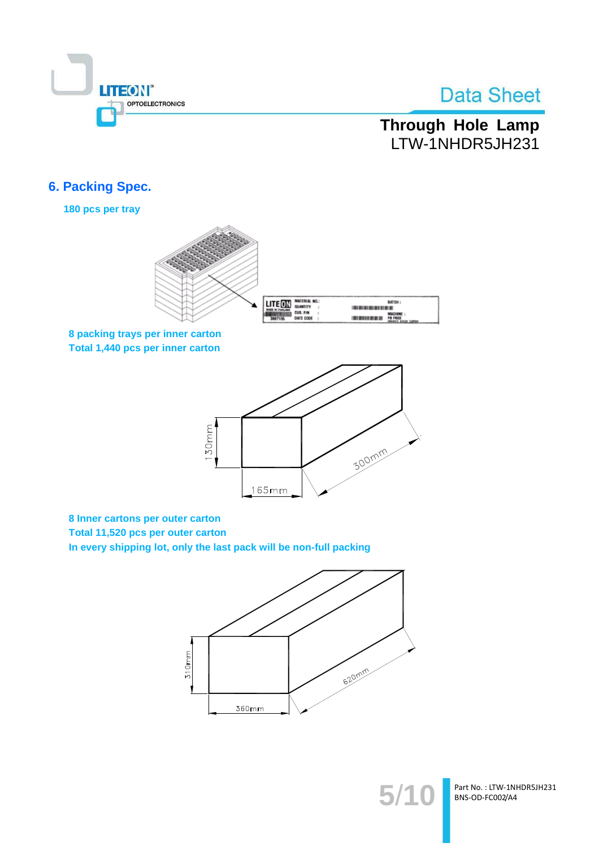

# Through Hole Lamp LTW-1NHDR5JH231

## **6. Packing Spec.**

180 pcs per tray



8 packing trays per inner carton Total 1,440 pcs per inner carton



8 Inner cartons per outer carton Total 11,520 pcs per outer carton

In every shipping lot, only the last pack will be non-full packing



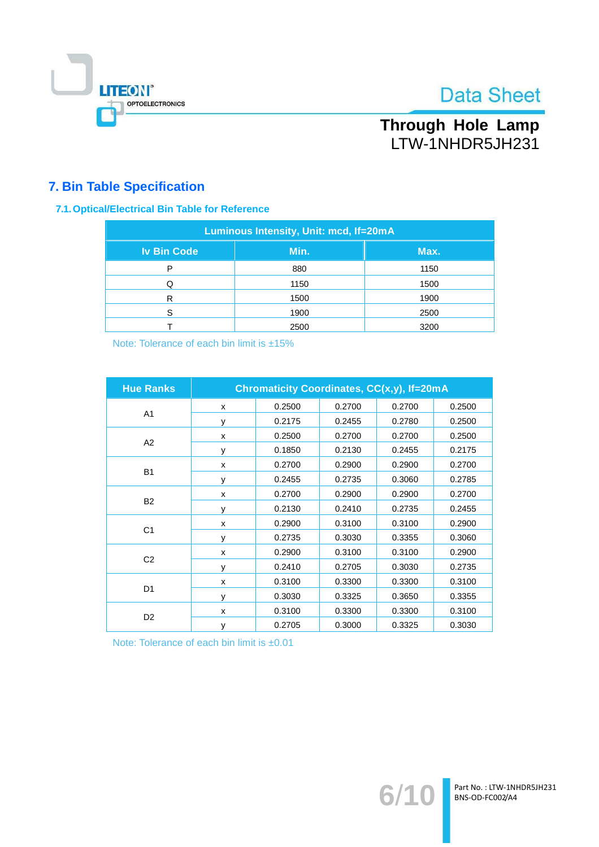

# Through Hole Lamp LTW-1NHDR5JH231

## **7. Bin Table Specification**

## 7.1. Optical/Electrical Bin Table for Reference

| Luminous Intensity, Unit: mcd, If=20mA |      |      |  |  |  |
|----------------------------------------|------|------|--|--|--|
| <b>Iv Bin Code</b>                     | Min. | Max. |  |  |  |
| P                                      | 880  | 1150 |  |  |  |
|                                        | 1150 | 1500 |  |  |  |
| R                                      | 1500 | 1900 |  |  |  |
| ς                                      | 1900 | 2500 |  |  |  |
|                                        | 2500 | 3200 |  |  |  |

Note: Tolerance of each bin limit is ±15%

| <b>Hue Ranks</b> | <b>Chromaticity Coordinates, CC(x,y), If=20mA</b> |        |        |        |        |
|------------------|---------------------------------------------------|--------|--------|--------|--------|
|                  | X                                                 | 0.2500 | 0.2700 | 0.2700 | 0.2500 |
| A <sub>1</sub>   | У                                                 | 0.2175 | 0.2455 | 0.2780 | 0.2500 |
| A2               | x                                                 | 0.2500 | 0.2700 | 0.2700 | 0.2500 |
|                  | y                                                 | 0.1850 | 0.2130 | 0.2455 | 0.2175 |
| <b>B1</b>        | X                                                 | 0.2700 | 0.2900 | 0.2900 | 0.2700 |
|                  | y                                                 | 0.2455 | 0.2735 | 0.3060 | 0.2785 |
|                  | X                                                 | 0.2700 | 0.2900 | 0.2900 | 0.2700 |
| <b>B2</b>        | y                                                 | 0.2130 | 0.2410 | 0.2735 | 0.2455 |
|                  | X                                                 | 0.2900 | 0.3100 | 0.3100 | 0.2900 |
| C <sub>1</sub>   | v                                                 | 0.2735 | 0.3030 | 0.3355 | 0.3060 |
|                  | X                                                 | 0.2900 | 0.3100 | 0.3100 | 0.2900 |
| C <sub>2</sub>   | y                                                 | 0.2410 | 0.2705 | 0.3030 | 0.2735 |
| D <sub>1</sub>   | X                                                 | 0.3100 | 0.3300 | 0.3300 | 0.3100 |
|                  | y                                                 | 0.3030 | 0.3325 | 0.3650 | 0.3355 |
| D <sub>2</sub>   | X                                                 | 0.3100 | 0.3300 | 0.3300 | 0.3100 |
|                  | y                                                 | 0.2705 | 0.3000 | 0.3325 | 0.3030 |

Note: Tolerance of each bin limit is ±0.01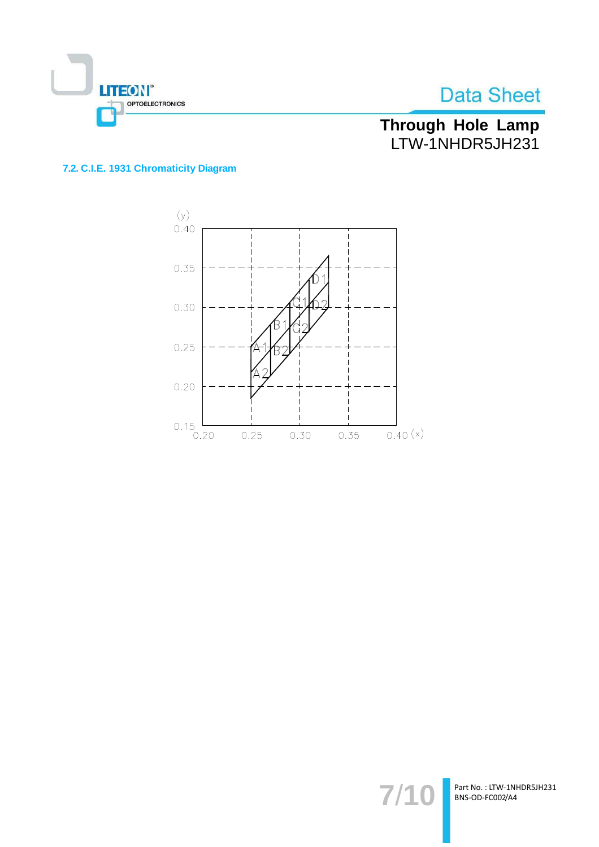

Through Hole Lamp<br>LTW-1NHDR5JH231

## 7.2. C.I.E. 1931 Chromaticity Diagram



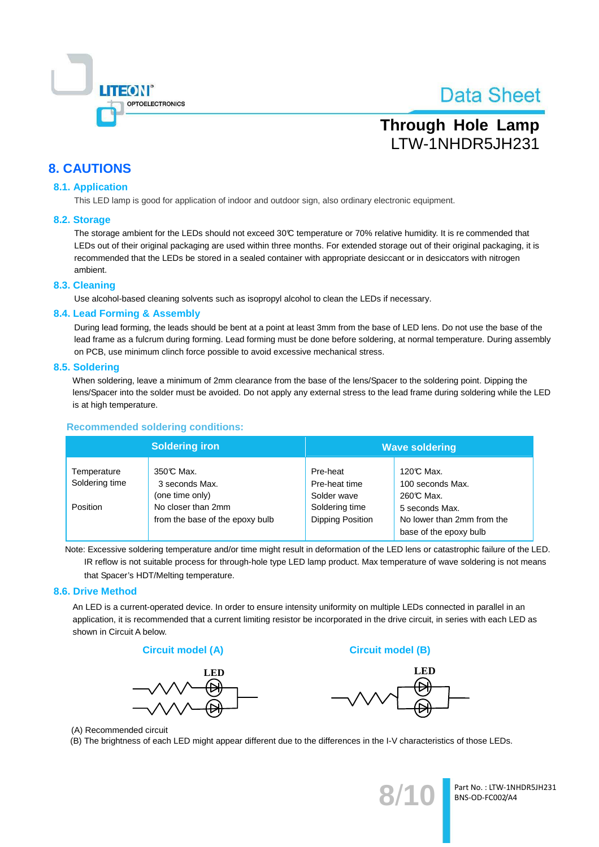

# **Through Hole Lamp** LTW-1NHDR5JH231

## **8. CAUTIONS**

### **8.1. Application**

This LED lamp is good for application of indoor and outdoor sign, also ordinary electronic equipment.

### 8.2. Storage

The storage ambient for the LEDs should not exceed 30°C temperature or 70% relative humidity. It is recommended that LEDs out of their original packaging are used within three months. For extended storage out of their original packaging, it is recommended that the LEDs be stored in a sealed container with appropriate desiccant or in desiccators with nitrogen ambient.

### 8.3. Cleaning

Use alcohol-based cleaning solvents such as isopropyl alcohol to clean the LEDs if necessary.

### 8.4. Lead Forming & Assembly

During lead forming, the leads should be bent at a point at least 3mm from the base of LED lens. Do not use the base of the lead frame as a fulcrum during forming. Lead forming must be done before soldering, at normal temperature. During assembly on PCB, use minimum clinch force possible to avoid excessive mechanical stress.

### 8.5. Soldering

When soldering, leave a minimum of 2mm clearance from the base of the lens/Spacer to the soldering point. Dipping the lens/Spacer into the solder must be avoided. Do not apply any external stress to the lead frame during soldering while the LED is at high temperature.

### **Recommended soldering conditions:**

|                               | <b>Soldering iron</b>                                 | <b>Wave soldering</b>                     |                                                                        |  |
|-------------------------------|-------------------------------------------------------|-------------------------------------------|------------------------------------------------------------------------|--|
| Temperature<br>Soldering time | 350℃ Max.<br>3 seconds Max.<br>(one time only)        | Pre-heat<br>Pre-heat time<br>Solder wave  | 120℃ Max.<br>100 seconds Max.<br>260℃ Max.                             |  |
| Position                      | No closer than 2mm<br>from the base of the epoxy bulb | Soldering time<br><b>Dipping Position</b> | 5 seconds Max.<br>No lower than 2mm from the<br>base of the epoxy bulb |  |

Note: Excessive soldering temperature and/or time might result in deformation of the LED lens or catastrophic failure of the LED. IR reflow is not suitable process for through-hole type LED lamp product. Max temperature of wave soldering is not means that Spacer's HDT/Melting temperature.

### 8.6. Drive Method

An LED is a current-operated device. In order to ensure intensity uniformity on multiple LEDs connected in parallel in an application, it is recommended that a current limiting resistor be incorporated in the drive circuit, in series with each LED as shown in Circuit A below.

#### **Circuit model (A)**



**Circuit model (B)** 



(A) Recommended circuit

(B) The brightness of each LED might appear different due to the differences in the I-V characteristics of those LEDs.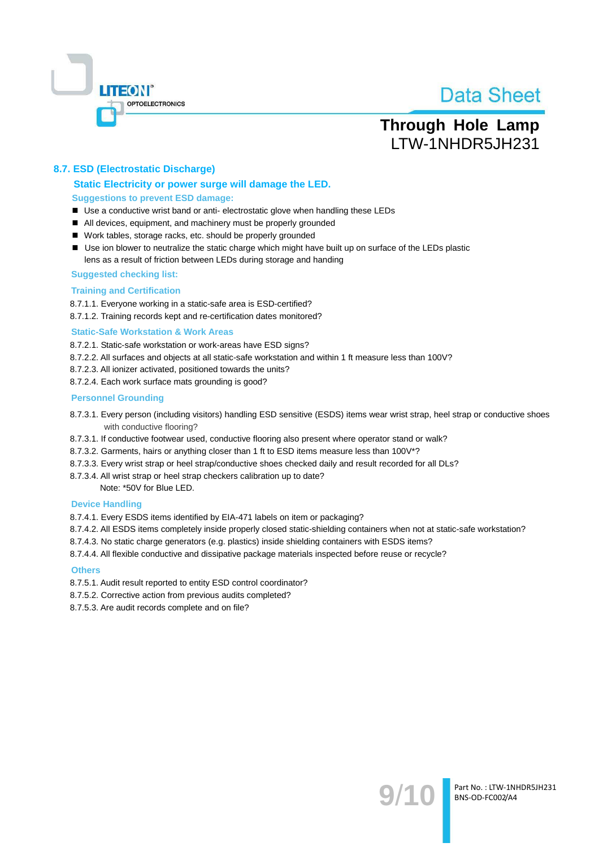

## **Through Hole Lamp** LTW-1NHDR5JH231

### 8.7. ESD (Electrostatic Discharge)

### Static Electricity or power surge will damage the LED. **Suggestions to prevent ESD damage:**

- Use a conductive wrist band or anti- electrostatic glove when handling these LEDs
- All devices, equipment, and machinery must be properly grounded
- Work tables, storage racks, etc. should be properly grounded
- Use ion blower to neutralize the static charge which might have built up on surface of the LEDs plastic lens as a result of friction between LEDs during storage and handing

#### **Suggested checking list:**

#### **Training and Certification**

8.7.1.1. Everyone working in a static-safe area is ESD-certified?

8.7.1.2. Training records kept and re-certification dates monitored?

#### **Static-Safe Workstation & Work Areas**

8.7.2.1. Static-safe workstation or work-areas have ESD signs?

- 8.7.2.2. All surfaces and objects at all static-safe workstation and within 1 ft measure less than 100V?
- 8.7.2.3. All ionizer activated, positioned towards the units?
- 8.7.2.4. Each work surface mats grounding is good?

#### **Personnel Grounding**

- 8.7.3.1. Every person (including visitors) handling ESD sensitive (ESDS) items wear wrist strap, heel strap or conductive shoes with conductive flooring?
- 8.7.3.1. If conductive footwear used, conductive flooring also present where operator stand or walk?
- 8.7.3.2. Garments, hairs or anything closer than 1 ft to ESD items measure less than 100V\*?
- 8.7.3.3. Every wrist strap or heel strap/conductive shoes checked daily and result recorded for all DLs?
- 8.7.3.4. All wrist strap or heel strap checkers calibration up to date?

Note: \*50V for Blue LED.

#### **Device Handling**

8.7.4.1. Every ESDS items identified by EIA-471 labels on item or packaging?

- 8.7.4.2. All ESDS items completely inside properly closed static-shielding containers when not at static-safe workstation?
- 8.7.4.3. No static charge generators (e.g. plastics) inside shielding containers with ESDS items?
- 8.7.4.4. All flexible conductive and dissipative package materials inspected before reuse or recycle?

#### **Others**

- 8.7.5.1. Audit result reported to entity ESD control coordinator?
- 8.7.5.2. Corrective action from previous audits completed?
- 8.7.5.3. Are audit records complete and on file?